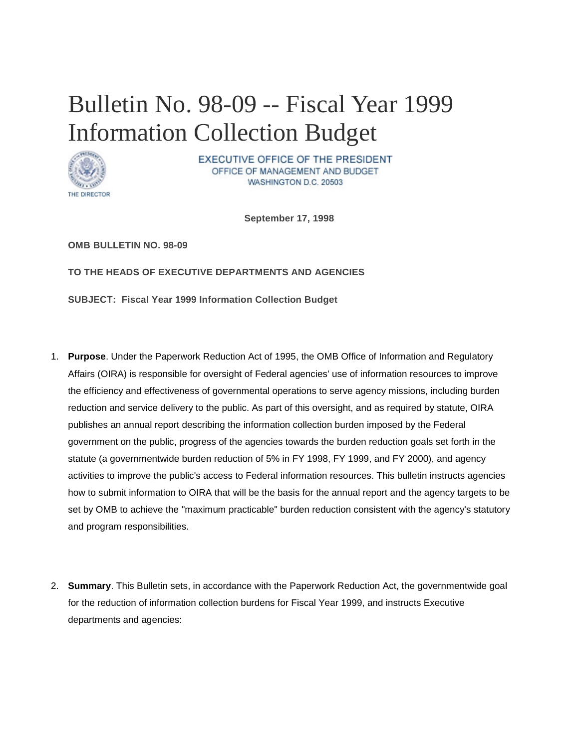## Bulletin No. 98-09 -- Fiscal Year 1999 Information Collection Budget



EXECUTIVE OFFICE OF THE PRESIDENT OFFICE OF MANAGEMENT AND BUDGET WASHINGTON D.C. 20503

**September 17, 1998** 

**OMB BULLETIN NO. 98-09**

**TO THE HEADS OF EXECUTIVE DEPARTMENTS AND AGENCIES** 

**SUBJECT: Fiscal Year 1999 Information Collection Budget** 

- 1. **Purpose**. Under the Paperwork Reduction Act of 1995, the OMB Office of Information and Regulatory Affairs (OIRA) is responsible for oversight of Federal agencies' use of information resources to improve the efficiency and effectiveness of governmental operations to serve agency missions, including burden reduction and service delivery to the public. As part of this oversight, and as required by statute, OIRA publishes an annual report describing the information collection burden imposed by the Federal government on the public, progress of the agencies towards the burden reduction goals set forth in the statute (a governmentwide burden reduction of 5% in FY 1998, FY 1999, and FY 2000), and agency activities to improve the public's access to Federal information resources. This bulletin instructs agencies how to submit information to OIRA that will be the basis for the annual report and the agency targets to be set by OMB to achieve the "maximum practicable" burden reduction consistent with the agency's statutory and program responsibilities.
- 2. **Summary**. This Bulletin sets, in accordance with the Paperwork Reduction Act, the governmentwide goal for the reduction of information collection burdens for Fiscal Year 1999, and instructs Executive departments and agencies: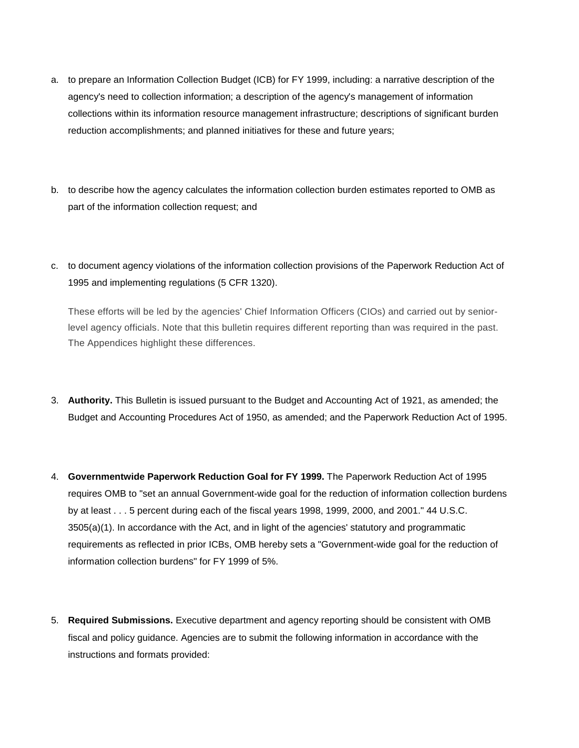- a. to prepare an Information Collection Budget (ICB) for FY 1999, including: a narrative description of the agency's need to collection information; a description of the agency's management of information collections within its information resource management infrastructure; descriptions of significant burden reduction accomplishments; and planned initiatives for these and future years;
- b. to describe how the agency calculates the information collection burden estimates reported to OMB as part of the information collection request; and
- c. to document agency violations of the information collection provisions of the Paperwork Reduction Act of 1995 and implementing regulations (5 CFR 1320).

These efforts will be led by the agencies' Chief Information Officers (CIOs) and carried out by seniorlevel agency officials. Note that this bulletin requires different reporting than was required in the past. The Appendices highlight these differences.

- 3. **Authority.** This Bulletin is issued pursuant to the Budget and Accounting Act of 1921, as amended; the Budget and Accounting Procedures Act of 1950, as amended; and the Paperwork Reduction Act of 1995.
- 4. **Governmentwide Paperwork Reduction Goal for FY 1999.** The Paperwork Reduction Act of 1995 requires OMB to "set an annual Government-wide goal for the reduction of information collection burdens by at least . . . 5 percent during each of the fiscal years 1998, 1999, 2000, and 2001." 44 U.S.C. 3505(a)(1). In accordance with the Act, and in light of the agencies' statutory and programmatic requirements as reflected in prior ICBs, OMB hereby sets a "Government-wide goal for the reduction of information collection burdens" for FY 1999 of 5%.
- 5. **Required Submissions.** Executive department and agency reporting should be consistent with OMB fiscal and policy guidance. Agencies are to submit the following information in accordance with the instructions and formats provided: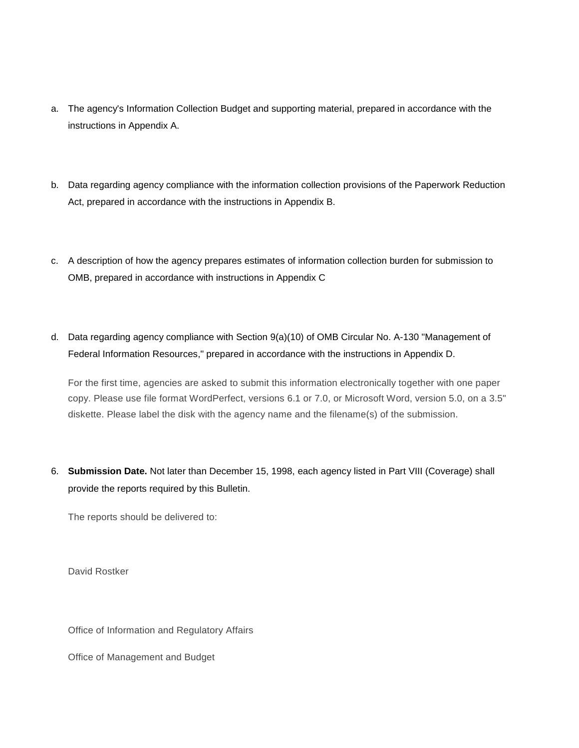- a. The agency's Information Collection Budget and supporting material, prepared in accordance with the instructions in Appendix A.
- b. Data regarding agency compliance with the information collection provisions of the Paperwork Reduction Act, prepared in accordance with the instructions in Appendix B.
- c. A description of how the agency prepares estimates of information collection burden for submission to OMB, prepared in accordance with instructions in Appendix C
- d. Data regarding agency compliance with Section 9(a)(10) of OMB Circular No. A-130 "Management of Federal Information Resources," prepared in accordance with the instructions in Appendix D.

For the first time, agencies are asked to submit this information electronically together with one paper copy. Please use file format WordPerfect, versions 6.1 or 7.0, or Microsoft Word, version 5.0, on a 3.5" diskette. Please label the disk with the agency name and the filename(s) of the submission.

6. **Submission Date.** Not later than December 15, 1998, each agency listed in Part VIII (Coverage) shall provide the reports required by this Bulletin.

The reports should be delivered to:

David Rostker

Office of Information and Regulatory Affairs

Office of Management and Budget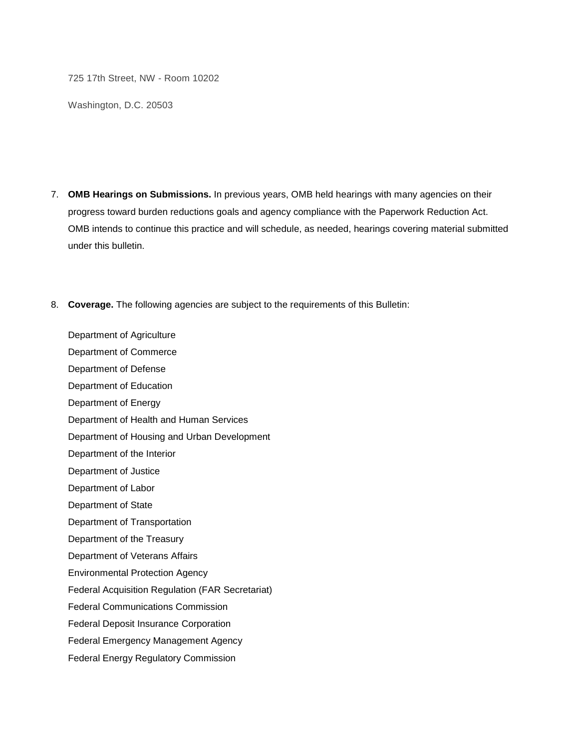725 17th Street, NW - Room 10202

Washington, D.C. 20503

- 7. **OMB Hearings on Submissions.** In previous years, OMB held hearings with many agencies on their progress toward burden reductions goals and agency compliance with the Paperwork Reduction Act. OMB intends to continue this practice and will schedule, as needed, hearings covering material submitted under this bulletin.
- 8. **Coverage.** The following agencies are subject to the requirements of this Bulletin:

Department of Agriculture Department of Commerce Department of Defense Department of Education Department of Energy Department of Health and Human Services Department of Housing and Urban Development Department of the Interior Department of Justice Department of Labor Department of State Department of Transportation Department of the Treasury Department of Veterans Affairs Environmental Protection Agency Federal Acquisition Regulation (FAR Secretariat) Federal Communications Commission Federal Deposit Insurance Corporation Federal Emergency Management Agency Federal Energy Regulatory Commission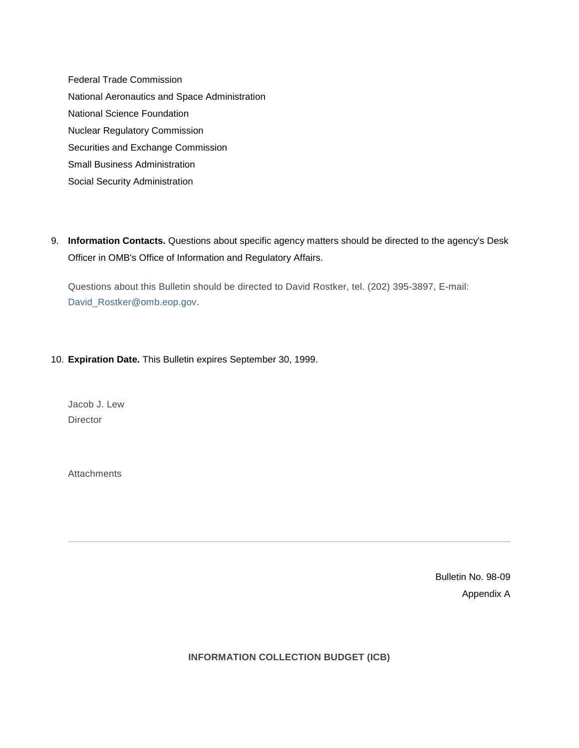Federal Trade Commission National Aeronautics and Space Administration National Science Foundation Nuclear Regulatory Commission Securities and Exchange Commission Small Business Administration Social Security Administration

9. **Information Contacts.** Questions about specific agency matters should be directed to the agency's Desk Officer in OMB's Office of Information and Regulatory Affairs.

Questions about this Bulletin should be directed to David Rostker, tel. (202) 395-3897, E-mail: [David\\_Rostker@omb.eop.gov.](https://www.whitehouse.gov/sites/default/files/omb/assets/omb/bulletins/mailto:david_rostker@omb.eop.gov)

## 10. **Expiration Date.** This Bulletin expires September 30, 1999.

Jacob J. Lew **Director** 

**Attachments** 

Bulletin No. 98-09 Appendix A

**INFORMATION COLLECTION BUDGET (ICB)**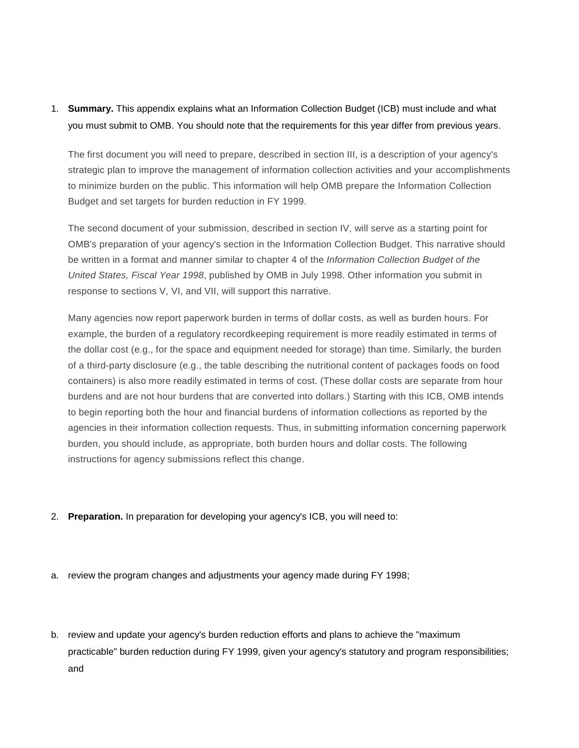## 1. **Summary.** This appendix explains what an Information Collection Budget (ICB) must include and what you must submit to OMB. You should note that the requirements for this year differ from previous years.

The first document you will need to prepare, described in section III, is a description of your agency's strategic plan to improve the management of information collection activities and your accomplishments to minimize burden on the public. This information will help OMB prepare the Information Collection Budget and set targets for burden reduction in FY 1999.

The second document of your submission, described in section IV, will serve as a starting point for OMB's preparation of your agency's section in the Information Collection Budget. This narrative should be written in a format and manner similar to chapter 4 of the *Information Collection Budget of the United States, Fiscal Year 1998*, published by OMB in July 1998. Other information you submit in response to sections V, VI, and VII, will support this narrative.

Many agencies now report paperwork burden in terms of dollar costs, as well as burden hours. For example, the burden of a regulatory recordkeeping requirement is more readily estimated in terms of the dollar cost (e.g., for the space and equipment needed for storage) than time. Similarly, the burden of a third-party disclosure (e.g., the table describing the nutritional content of packages foods on food containers) is also more readily estimated in terms of cost. (These dollar costs are separate from hour burdens and are not hour burdens that are converted into dollars.) Starting with this ICB, OMB intends to begin reporting both the hour and financial burdens of information collections as reported by the agencies in their information collection requests. Thus, in submitting information concerning paperwork burden, you should include, as appropriate, both burden hours and dollar costs. The following instructions for agency submissions reflect this change.

- 2. **Preparation.** In preparation for developing your agency's ICB, you will need to:
- a. review the program changes and adjustments your agency made during FY 1998;
- b. review and update your agency's burden reduction efforts and plans to achieve the "maximum practicable" burden reduction during FY 1999, given your agency's statutory and program responsibilities; and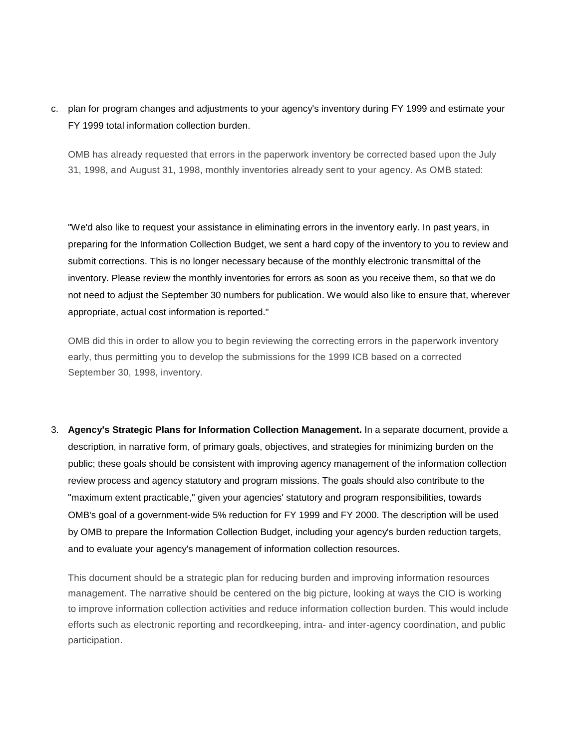c. plan for program changes and adjustments to your agency's inventory during FY 1999 and estimate your FY 1999 total information collection burden.

OMB has already requested that errors in the paperwork inventory be corrected based upon the July 31, 1998, and August 31, 1998, monthly inventories already sent to your agency. As OMB stated:

"We'd also like to request your assistance in eliminating errors in the inventory early. In past years, in preparing for the Information Collection Budget, we sent a hard copy of the inventory to you to review and submit corrections. This is no longer necessary because of the monthly electronic transmittal of the inventory. Please review the monthly inventories for errors as soon as you receive them, so that we do not need to adjust the September 30 numbers for publication. We would also like to ensure that, wherever appropriate, actual cost information is reported."

OMB did this in order to allow you to begin reviewing the correcting errors in the paperwork inventory early, thus permitting you to develop the submissions for the 1999 ICB based on a corrected September 30, 1998, inventory.

3. **Agency's Strategic Plans for Information Collection Management.** In a separate document, provide a description, in narrative form, of primary goals, objectives, and strategies for minimizing burden on the public; these goals should be consistent with improving agency management of the information collection review process and agency statutory and program missions. The goals should also contribute to the "maximum extent practicable," given your agencies' statutory and program responsibilities, towards OMB's goal of a government-wide 5% reduction for FY 1999 and FY 2000. The description will be used by OMB to prepare the Information Collection Budget, including your agency's burden reduction targets, and to evaluate your agency's management of information collection resources.

This document should be a strategic plan for reducing burden and improving information resources management. The narrative should be centered on the big picture, looking at ways the CIO is working to improve information collection activities and reduce information collection burden. This would include efforts such as electronic reporting and recordkeeping, intra- and inter-agency coordination, and public participation.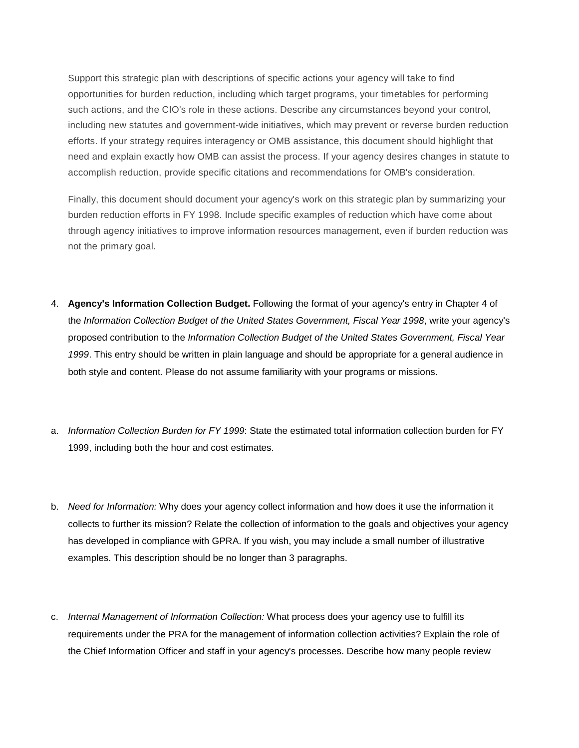Support this strategic plan with descriptions of specific actions your agency will take to find opportunities for burden reduction, including which target programs, your timetables for performing such actions, and the CIO's role in these actions. Describe any circumstances beyond your control, including new statutes and government-wide initiatives, which may prevent or reverse burden reduction efforts. If your strategy requires interagency or OMB assistance, this document should highlight that need and explain exactly how OMB can assist the process. If your agency desires changes in statute to accomplish reduction, provide specific citations and recommendations for OMB's consideration.

Finally, this document should document your agency's work on this strategic plan by summarizing your burden reduction efforts in FY 1998. Include specific examples of reduction which have come about through agency initiatives to improve information resources management, even if burden reduction was not the primary goal.

- 4. **Agency's Information Collection Budget.** Following the format of your agency's entry in Chapter 4 of the *Information Collection Budget of the United States Government, Fiscal Year 1998*, write your agency's proposed contribution to the *Information Collection Budget of the United States Government, Fiscal Year 1999*. This entry should be written in plain language and should be appropriate for a general audience in both style and content. Please do not assume familiarity with your programs or missions.
- a. *Information Collection Burden for FY 1999*: State the estimated total information collection burden for FY 1999, including both the hour and cost estimates.
- b. *Need for Information:* Why does your agency collect information and how does it use the information it collects to further its mission? Relate the collection of information to the goals and objectives your agency has developed in compliance with GPRA. If you wish, you may include a small number of illustrative examples. This description should be no longer than 3 paragraphs.
- c. *Internal Management of Information Collection:* What process does your agency use to fulfill its requirements under the PRA for the management of information collection activities? Explain the role of the Chief Information Officer and staff in your agency's processes. Describe how many people review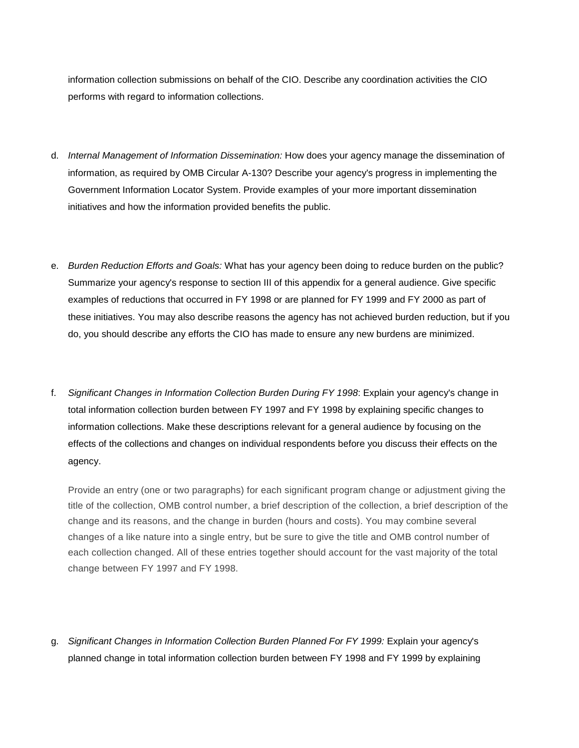information collection submissions on behalf of the CIO. Describe any coordination activities the CIO performs with regard to information collections.

- d. *Internal Management of Information Dissemination:* How does your agency manage the dissemination of information, as required by OMB Circular A-130? Describe your agency's progress in implementing the Government Information Locator System. Provide examples of your more important dissemination initiatives and how the information provided benefits the public.
- e. *Burden Reduction Efforts and Goals:* What has your agency been doing to reduce burden on the public? Summarize your agency's response to section III of this appendix for a general audience. Give specific examples of reductions that occurred in FY 1998 or are planned for FY 1999 and FY 2000 as part of these initiatives. You may also describe reasons the agency has not achieved burden reduction, but if you do, you should describe any efforts the CIO has made to ensure any new burdens are minimized.
- f. *Significant Changes in Information Collection Burden During FY 1998*: Explain your agency's change in total information collection burden between FY 1997 and FY 1998 by explaining specific changes to information collections. Make these descriptions relevant for a general audience by focusing on the effects of the collections and changes on individual respondents before you discuss their effects on the agency.

Provide an entry (one or two paragraphs) for each significant program change or adjustment giving the title of the collection, OMB control number, a brief description of the collection, a brief description of the change and its reasons, and the change in burden (hours and costs). You may combine several changes of a like nature into a single entry, but be sure to give the title and OMB control number of each collection changed. All of these entries together should account for the vast majority of the total change between FY 1997 and FY 1998.

g. *Significant Changes in Information Collection Burden Planned For FY 1999:* Explain your agency's planned change in total information collection burden between FY 1998 and FY 1999 by explaining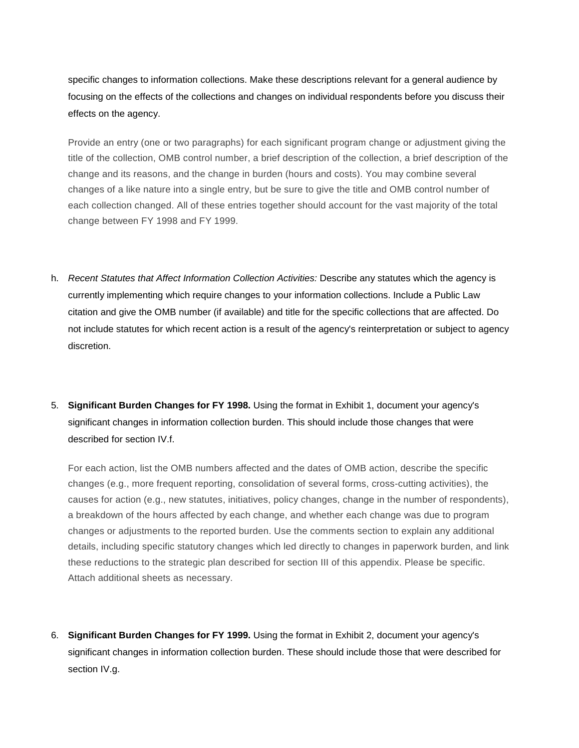specific changes to information collections. Make these descriptions relevant for a general audience by focusing on the effects of the collections and changes on individual respondents before you discuss their effects on the agency.

Provide an entry (one or two paragraphs) for each significant program change or adjustment giving the title of the collection, OMB control number, a brief description of the collection, a brief description of the change and its reasons, and the change in burden (hours and costs). You may combine several changes of a like nature into a single entry, but be sure to give the title and OMB control number of each collection changed. All of these entries together should account for the vast majority of the total change between FY 1998 and FY 1999.

- h. *Recent Statutes that Affect Information Collection Activities:* Describe any statutes which the agency is currently implementing which require changes to your information collections. Include a Public Law citation and give the OMB number (if available) and title for the specific collections that are affected. Do not include statutes for which recent action is a result of the agency's reinterpretation or subject to agency discretion.
- 5. **Significant Burden Changes for FY 1998.** Using the format in Exhibit 1, document your agency's significant changes in information collection burden. This should include those changes that were described for section IV.f.

For each action, list the OMB numbers affected and the dates of OMB action, describe the specific changes (e.g., more frequent reporting, consolidation of several forms, cross-cutting activities), the causes for action (e.g., new statutes, initiatives, policy changes, change in the number of respondents), a breakdown of the hours affected by each change, and whether each change was due to program changes or adjustments to the reported burden. Use the comments section to explain any additional details, including specific statutory changes which led directly to changes in paperwork burden, and link these reductions to the strategic plan described for section III of this appendix. Please be specific. Attach additional sheets as necessary.

6. **Significant Burden Changes for FY 1999.** Using the format in Exhibit 2, document your agency's significant changes in information collection burden. These should include those that were described for section IV.g.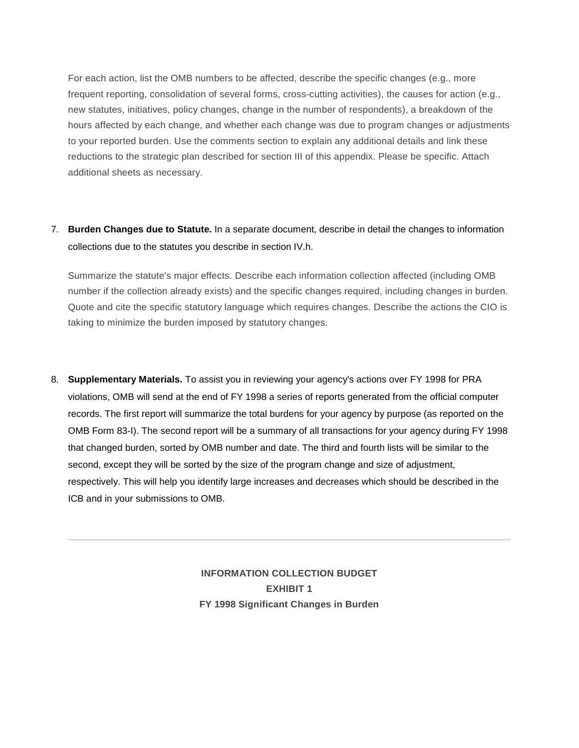For each action, list the OMB numbers to be affected, describe the specific changes (e.g., more frequent reporting, consolidation of several forms, cross-cutting activities), the causes for action (e.g., new statutes, initiatives, policy changes, change in the number of respondents), a breakdown of the hours affected by each change, and whether each change was due to program changes or adjustments to your reported burden. Use the comments section to explain any additional details and link these reductions to the strategic plan described for section III of this appendix. Please be specific. Attach additional sheets as necessary.

## 7. **Burden Changes due to Statute.** In a separate document, describe in detail the changes to information collections due to the statutes you describe in section IV.h.

Summarize the statute's major effects. Describe each information collection affected (including OMB number if the collection already exists) and the specific changes required, including changes in burden. Quote and cite the specific statutory language which requires changes. Describe the actions the CIO is taking to minimize the burden imposed by statutory changes.

8. **Supplementary Materials.** To assist you in reviewing your agency's actions over FY 1998 for PRA violations, OMB will send at the end of FY 1998 a series of reports generated from the official computer records. The first report will summarize the total burdens for your agency by purpose (as reported on the OMB Form 83-I). The second report will be a summary of all transactions for your agency during FY 1998 that changed burden, sorted by OMB number and date. The third and fourth lists will be similar to the second, except they will be sorted by the size of the program change and size of adjustment, respectively. This will help you identify large increases and decreases which should be described in the ICB and in your submissions to OMB.

> **INFORMATION COLLECTION BUDGET EXHIBIT 1 FY 1998 Significant Changes in Burden**